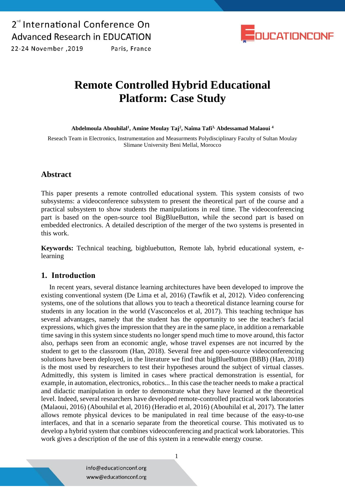

2019. 22-24 November

**Remote Controlled Hybrid Educational Platform: Case Study**

**Abdelmoula Abouhilal<sup>1</sup> , Amine Moulay Taj<sup>2</sup> , Naîma Tafi3, Abdessamad Malaoui <sup>4</sup>**

Reseach Team in Electronics, Instrumentation and Measurments Polydisciplinary Faculty of Sultan Moulay Slimane University Beni Mellal, Morocco

### **Abstract**

This paper presents a remote controlled educational system. This system consists of two subsystems: a videoconference subsystem to present the theoretical part of the course and a practical subsystem to show students the manipulations in real time. The videoconferencing part is based on the open-source tool BigBlueButton, while the second part is based on embedded electronics. A detailed description of the merger of the two systems is presented in this work.

**Keywords:** Technical teaching, bigbluebutton, Remote lab, hybrid educational system, elearning

### **1. Introduction**

In recent years, several distance learning architectures have been developed to improve the existing conventional system (De Lima et al, 2016) (Tawfik et al, 2012). Video conferencing systems, one of the solutions that allows you to teach a theoretical distance learning course for students in any location in the world (Vasconcelos et al, 2017). This teaching technique has several advantages, namely that the student has the opportunity to see the teacher's facial expressions, which gives the impression that they are in the same place, in addition a remarkable time saving in this system since students no longer spend much time to move around, this factor also, perhaps seen from an economic angle, whose travel expenses are not incurred by the student to get to the classroom (Han, 2018). Several free and open-source videoconferencing solutions have been deployed, in the literature we find that bigBlueButton (BBB) (Han, 2018) is the most used by researchers to test their hypotheses around the subject of virtual classes. Admittedly, this system is limited in cases where practical demonstration is essential, for example, in automation, electronics, robotics... In this case the teacher needs to make a practical and didactic manipulation in order to demonstrate what they have learned at the theoretical level. Indeed, several researchers have developed remote-controlled practical work laboratories (Malaoui, 2016) (Abouhilal et al, 2016) (Heradio et al, 2016) (Abouhilal et al, 2017). The latter allows remote physical devices to be manipulated in real time because of the easy-to-use interfaces, and that in a scenario separate from the theoretical course. This motivated us to develop a hybrid system that combines videoconferencing and practical work laboratories. This work gives a description of the use of this system in a renewable energy course.

> info@educationconf.org www@educationconf.org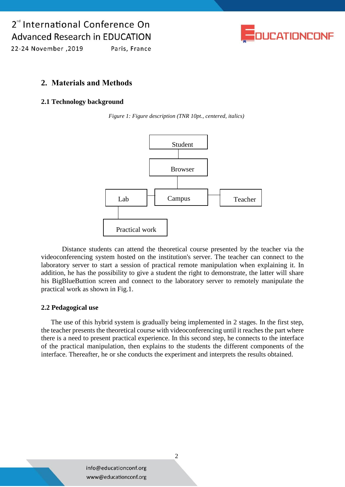## 2<sup>nd</sup> International Conference On **Advanced Research in EDUCATION**



22-24 November , 2019 Paris, France

## **2. Materials and Methods**

#### **2.1 Technology background**

*Figure 1: Figure description (TNR 10pt., centered, italics)*



Distance students can attend the theoretical course presented by the teacher via the videoconferencing system hosted on the institution's server. The teacher can connect to the laboratory server to start a session of practical remote manipulation when explaining it. In addition, he has the possibility to give a student the right to demonstrate, the latter will share his BigBlueButtion screen and connect to the laboratory server to remotely manipulate the practical work as shown in Fig.1.

#### **2.2 Pedagogical use**

The use of this hybrid system is gradually being implemented in 2 stages. In the first step, the teacher presents the theoretical course with videoconferencing until it reaches the part where there is a need to present practical experience. In this second step, he connects to the interface of the practical manipulation, then explains to the students the different components of the interface. Thereafter, he or she conducts the experiment and interprets the results obtained.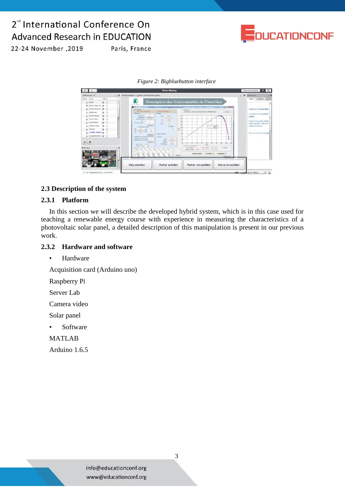# 2<sup>d</sup> International Conference On **Advanced Research in EDUCATION**



2019, 2012 November

Paris, France

#### *Figure 2: Bigbluebutton interface*



#### **2.3 Description of the system**

#### **2.3.1 Platform**

In this section we will describe the developed hybrid system, which is in this case used for teaching a renewable energy course with experience in measuring the characteristics of a photovoltaic solar panel, a detailed description of this manipulation is present in our previous work.

#### **2.3.2 Hardware and software**

• Hardware

Acquisition card (Arduino uno)

Raspberry Pi

Server Lab

Camera video

Solar panel

• Software

MATLAB

Arduino 1.6.5

info@educationconf.org www@educationconf.org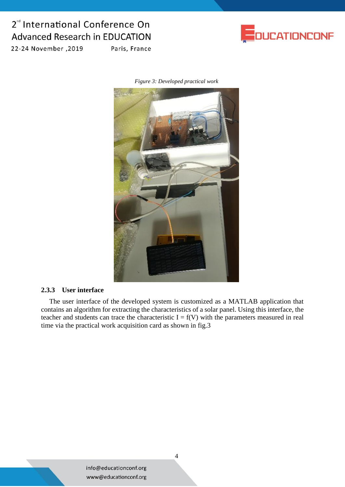# 2<sup>nd</sup> International Conference On **Advanced Research in EDUCATION**



2019, 2012 November

Paris, France

*Figure 3: Developed practical work*



#### **2.3.3 User interface**

The user interface of the developed system is customized as a MATLAB application that contains an algorithm for extracting the characteristics of a solar panel. Using this interface, the teacher and students can trace the characteristic  $I = f(V)$  with the parameters measured in real time via the practical work acquisition card as shown in fig.3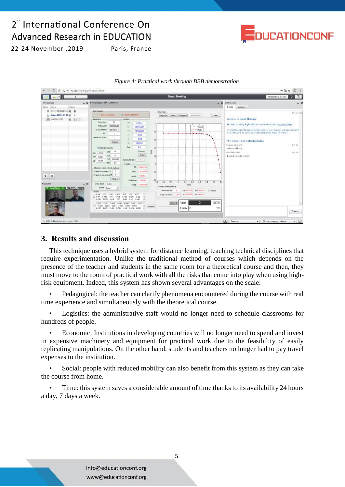# 2<sup>rd</sup> International Conference On **Advanced Research in EDUCATION**



22-24 November , 2019

C 0 172.16.195.138/clent/BigB) ■副☆ ③  $26.8<sub>1</sub>$ Recourse date 2 3 **FB**  $= 0$ Texentation MATLAB PNC  $=$ Discussi ÎФ. Public Options @ Associatestrat.g  $16:20$ A AREN MOULAY TA O  $Cau$ 图 youtes chath | ● 图 图 For help on using BigBlueButton see these (short) tutorial videos  $-$  vetex<br> $-$  Vade .<br>the bridge click the<br>the assist causing b 1975296-00 1,3998 ver is nutering BigBlueButto 17:35 ÷ salamo alikom E  $16:34$ Theor Bonjour tout le monde  $-514$  $| \cdot |$  0  $\Phi^1_0$ w **Norders** Elianove  $\begin{array}{r} 0.7015 \\ 0.754 \\ 1.61 \\ 1.61 \end{array}$  $\begin{array}{r} 0.7626 \\ 0.7626 \\ 0.5128 \\ 0.512 \end{array}$  $\begin{array}{r} 0.757 \\ 0.728 \\ 0.976 \end{array}$ Ì Vrai 100% 0% Faux 0 Envoyer



Paris, France

### **3. Results and discussion**

This technique uses a hybrid system for distance learning, teaching technical disciplines that require experimentation. Unlike the traditional method of courses which depends on the presence of the teacher and students in the same room for a theoretical course and then, they must move to the room of practical work with all the risks that come into play when using highrisk equipment. Indeed, this system has shown several advantages on the scale:

• Pedagogical: the teacher can clarify phenomena encountered during the course with real time experience and simultaneously with the theoretical course.

Logistics: the administrative staff would no longer need to schedule classrooms for hundreds of people.

• Economic: Institutions in developing countries will no longer need to spend and invest in expensive machinery and equipment for practical work due to the feasibility of easily replicating manipulations. On the other hand, students and teachers no longer had to pay travel expenses to the institution.

• Social: people with reduced mobility can also benefit from this system as they can take the course from home.

• Time: this system saves a considerable amount of time thanks to its availability 24 hours a day, 7 days a week.

> info@educationconf.org www@educationconf.org